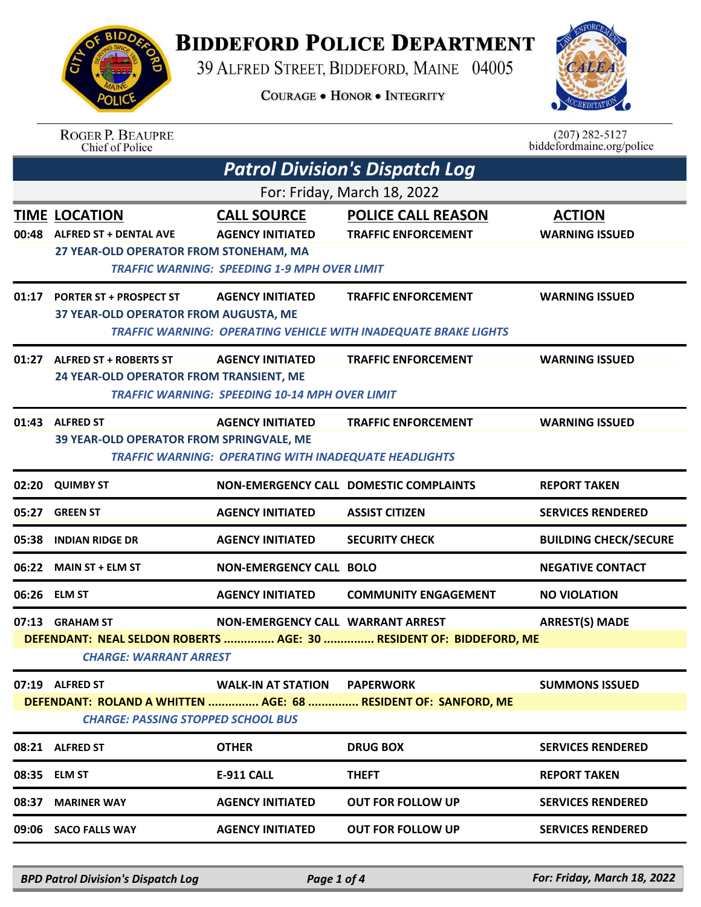## **BIDDEFORD POLICE DEPARTMENT**

39 ALFRED STREET, BIDDEFORD, MAINE 04005

**COURAGE . HONOR . INTEGRITY** 



| ING<br>88.A            |  |
|------------------------|--|
| POI <sup>1</sup><br>⊺c |  |

ROGER P. BEAUPRE<br>Chief of Police

**RIDA** 

| $(207)$ 282-5127          |
|---------------------------|
| biddefordmaine.org/police |

| <b>Patrol Division's Dispatch Log</b>                                                                       |                                                                                                |                                                                                                      |                                                                                                      |                                        |  |  |
|-------------------------------------------------------------------------------------------------------------|------------------------------------------------------------------------------------------------|------------------------------------------------------------------------------------------------------|------------------------------------------------------------------------------------------------------|----------------------------------------|--|--|
|                                                                                                             | For: Friday, March 18, 2022                                                                    |                                                                                                      |                                                                                                      |                                        |  |  |
|                                                                                                             | <b>TIME LOCATION</b><br>00:48 ALFRED ST + DENTAL AVE<br>27 YEAR-OLD OPERATOR FROM STONEHAM, MA | <b>CALL SOURCE</b><br><b>AGENCY INITIATED</b><br><b>TRAFFIC WARNING: SPEEDING 1-9 MPH OVER LIMIT</b> | <b>POLICE CALL REASON</b><br><b>TRAFFIC ENFORCEMENT</b>                                              | <b>ACTION</b><br><b>WARNING ISSUED</b> |  |  |
|                                                                                                             | 01:17 PORTER ST + PROSPECT ST<br>37 YEAR-OLD OPERATOR FROM AUGUSTA, ME                         | <b>AGENCY INITIATED</b>                                                                              | <b>TRAFFIC ENFORCEMENT</b><br><b>TRAFFIC WARNING: OPERATING VEHICLE WITH INADEQUATE BRAKE LIGHTS</b> | <b>WARNING ISSUED</b>                  |  |  |
|                                                                                                             | 01:27 ALFRED ST + ROBERTS ST<br>24 YEAR-OLD OPERATOR FROM TRANSIENT, ME                        | <b>AGENCY INITIATED</b><br><b>TRAFFIC WARNING: SPEEDING 10-14 MPH OVER LIMIT</b>                     | <b>TRAFFIC ENFORCEMENT</b>                                                                           | <b>WARNING ISSUED</b>                  |  |  |
|                                                                                                             | 01:43 ALFRED ST<br>39 YEAR-OLD OPERATOR FROM SPRINGVALE, ME                                    | <b>AGENCY INITIATED</b><br><b>TRAFFIC WARNING: OPERATING WITH INADEQUATE HEADLIGHTS</b>              | <b>TRAFFIC ENFORCEMENT</b>                                                                           | <b>WARNING ISSUED</b>                  |  |  |
| 02:20                                                                                                       | <b>QUIMBY ST</b>                                                                               |                                                                                                      | NON-EMERGENCY CALL DOMESTIC COMPLAINTS                                                               | <b>REPORT TAKEN</b>                    |  |  |
| 05:27                                                                                                       | <b>GREEN ST</b>                                                                                | <b>AGENCY INITIATED</b>                                                                              | <b>ASSIST CITIZEN</b>                                                                                | <b>SERVICES RENDERED</b>               |  |  |
| 05:38                                                                                                       | <b>INDIAN RIDGE DR</b>                                                                         | <b>AGENCY INITIATED</b>                                                                              | <b>SECURITY CHECK</b>                                                                                | <b>BUILDING CHECK/SECURE</b>           |  |  |
| 06:22                                                                                                       | <b>MAIN ST + ELM ST</b>                                                                        | <b>NON-EMERGENCY CALL BOLO</b>                                                                       |                                                                                                      | <b>NEGATIVE CONTACT</b>                |  |  |
| 06:26                                                                                                       | <b>ELM ST</b>                                                                                  | <b>AGENCY INITIATED</b>                                                                              | <b>COMMUNITY ENGAGEMENT</b>                                                                          | <b>NO VIOLATION</b>                    |  |  |
|                                                                                                             | 07:13 GRAHAM ST<br><b>CHARGE: WARRANT ARREST</b>                                               | NON-EMERGENCY CALL WARRANT ARREST                                                                    | DEFENDANT: NEAL SELDON ROBERTS  AGE: 30  RESIDENT OF: BIDDEFORD, ME                                  | <b>ARREST(S) MADE</b>                  |  |  |
|                                                                                                             | 07:19 ALFRED ST                                                                                | <b>WALK-IN AT STATION</b>                                                                            | <b>PAPERWORK</b>                                                                                     | <b>SUMMONS ISSUED</b>                  |  |  |
| DEFENDANT: ROLAND A WHITTEN  AGE: 68  RESIDENT OF: SANFORD, ME<br><b>CHARGE: PASSING STOPPED SCHOOL BUS</b> |                                                                                                |                                                                                                      |                                                                                                      |                                        |  |  |
|                                                                                                             | 08:21 ALFRED ST                                                                                | <b>OTHER</b>                                                                                         | <b>DRUG BOX</b>                                                                                      | <b>SERVICES RENDERED</b>               |  |  |
|                                                                                                             | 08:35 ELM ST                                                                                   | <b>E-911 CALL</b>                                                                                    | <b>THEFT</b>                                                                                         | <b>REPORT TAKEN</b>                    |  |  |
| 08:37                                                                                                       | <b>MARINER WAY</b>                                                                             | <b>AGENCY INITIATED</b>                                                                              | <b>OUT FOR FOLLOW UP</b>                                                                             | <b>SERVICES RENDERED</b>               |  |  |
|                                                                                                             | 09:06 SACO FALLS WAY                                                                           | <b>AGENCY INITIATED</b>                                                                              | <b>OUT FOR FOLLOW UP</b>                                                                             | <b>SERVICES RENDERED</b>               |  |  |

*BPD Patrol Division's Dispatch Log Page 1 of 4 For: Friday, March 18, 2022*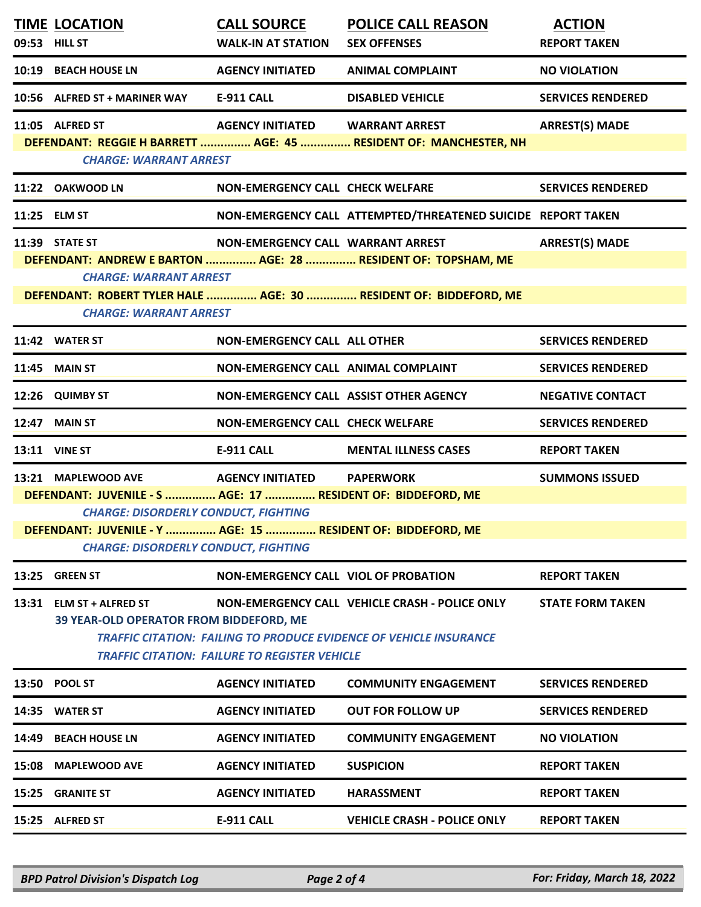|       | <b>TIME LOCATION</b><br>09:53 HILL ST                                                                                                                                                              | <b>CALL SOURCE</b><br><b>WALK-IN AT STATION</b>      | <b>POLICE CALL REASON</b><br><b>SEX OFFENSES</b>                                                                                   | <b>ACTION</b><br><b>REPORT TAKEN</b> |
|-------|----------------------------------------------------------------------------------------------------------------------------------------------------------------------------------------------------|------------------------------------------------------|------------------------------------------------------------------------------------------------------------------------------------|--------------------------------------|
|       | 10:19 BEACH HOUSE LN                                                                                                                                                                               | <b>AGENCY INITIATED</b>                              | <b>ANIMAL COMPLAINT</b>                                                                                                            | <b>NO VIOLATION</b>                  |
|       | 10:56 ALFRED ST + MARINER WAY                                                                                                                                                                      | <b>E-911 CALL</b>                                    | <b>DISABLED VEHICLE</b>                                                                                                            | <b>SERVICES RENDERED</b>             |
|       | 11:05 ALFRED ST<br><b>CHARGE: WARRANT ARREST</b>                                                                                                                                                   | AGENCY INITIATED WARRANT ARREST                      | DEFENDANT: REGGIE H BARRETT  AGE: 45  RESIDENT OF: MANCHESTER, NH                                                                  | <b>ARREST(S) MADE</b>                |
|       | 11:22 OAKWOOD LN                                                                                                                                                                                   | NON-EMERGENCY CALL CHECK WELFARE                     |                                                                                                                                    | <b>SERVICES RENDERED</b>             |
|       | 11:25 ELM ST                                                                                                                                                                                       |                                                      | NON-EMERGENCY CALL ATTEMPTED/THREATENED SUICIDE REPORT TAKEN                                                                       |                                      |
|       | 11:39 STATE ST<br><b>CHARGE: WARRANT ARREST</b><br><b>CHARGE: WARRANT ARREST</b>                                                                                                                   | NON-EMERGENCY CALL WARRANT ARREST                    | DEFENDANT: ANDREW E BARTON  AGE: 28  RESIDENT OF: TOPSHAM, ME<br>DEFENDANT: ROBERT TYLER HALE  AGE: 30  RESIDENT OF: BIDDEFORD, ME | <b>ARREST(S) MADE</b>                |
|       | 11:42 WATER ST                                                                                                                                                                                     | NON-EMERGENCY CALL ALL OTHER                         |                                                                                                                                    | <b>SERVICES RENDERED</b>             |
|       | <b>11:45 MAIN ST</b>                                                                                                                                                                               | NON-EMERGENCY CALL ANIMAL COMPLAINT                  |                                                                                                                                    | <b>SERVICES RENDERED</b>             |
|       | 12:26 QUIMBY ST                                                                                                                                                                                    |                                                      | NON-EMERGENCY CALL ASSIST OTHER AGENCY                                                                                             | <b>NEGATIVE CONTACT</b>              |
| 12:47 | <b>MAIN ST</b>                                                                                                                                                                                     | <b>NON-EMERGENCY CALL CHECK WELFARE</b>              |                                                                                                                                    | <b>SERVICES RENDERED</b>             |
|       |                                                                                                                                                                                                    |                                                      |                                                                                                                                    |                                      |
|       | <b>13:11 VINE ST</b>                                                                                                                                                                               | <b>E-911 CALL</b>                                    | <b>MENTAL ILLNESS CASES</b>                                                                                                        | <b>REPORT TAKEN</b>                  |
|       | 13:21 MAPLEWOOD AVE<br>DEFENDANT: JUVENILE - S  AGE: 17  RESIDENT OF: BIDDEFORD, ME<br><b>CHARGE: DISORDERLY CONDUCT, FIGHTING</b><br>DEFENDANT: JUVENILE - Y  AGE: 15  RESIDENT OF: BIDDEFORD, ME | <b>AGENCY INITIATED</b>                              | <b>PAPERWORK</b>                                                                                                                   | <b>SUMMONS ISSUED</b>                |
| 13:25 | <b>CHARGE: DISORDERLY CONDUCT, FIGHTING</b><br><b>GREEN ST</b>                                                                                                                                     | <b>NON-EMERGENCY CALL VIOL OF PROBATION</b>          |                                                                                                                                    | <b>REPORT TAKEN</b>                  |
| 13:31 | <b>ELM ST + ALFRED ST</b><br><b>39 YEAR-OLD OPERATOR FROM BIDDEFORD, ME</b>                                                                                                                        | <b>TRAFFIC CITATION: FAILURE TO REGISTER VEHICLE</b> | NON-EMERGENCY CALL VEHICLE CRASH - POLICE ONLY<br><b>TRAFFIC CITATION: FAILING TO PRODUCE EVIDENCE OF VEHICLE INSURANCE</b>        | <b>STATE FORM TAKEN</b>              |
| 13:50 | <b>POOL ST</b>                                                                                                                                                                                     | <b>AGENCY INITIATED</b>                              | <b>COMMUNITY ENGAGEMENT</b>                                                                                                        | <b>SERVICES RENDERED</b>             |
| 14:35 | <b>WATER ST</b>                                                                                                                                                                                    | <b>AGENCY INITIATED</b>                              | <b>OUT FOR FOLLOW UP</b>                                                                                                           | <b>SERVICES RENDERED</b>             |
| 14:49 | <b>BEACH HOUSE LN</b>                                                                                                                                                                              | <b>AGENCY INITIATED</b>                              | <b>COMMUNITY ENGAGEMENT</b>                                                                                                        | <b>NO VIOLATION</b>                  |
| 15:08 | <b>MAPLEWOOD AVE</b>                                                                                                                                                                               | <b>AGENCY INITIATED</b>                              | <b>SUSPICION</b>                                                                                                                   | <b>REPORT TAKEN</b>                  |
| 15:25 | <b>GRANITE ST</b>                                                                                                                                                                                  | <b>AGENCY INITIATED</b>                              | <b>HARASSMENT</b>                                                                                                                  | <b>REPORT TAKEN</b>                  |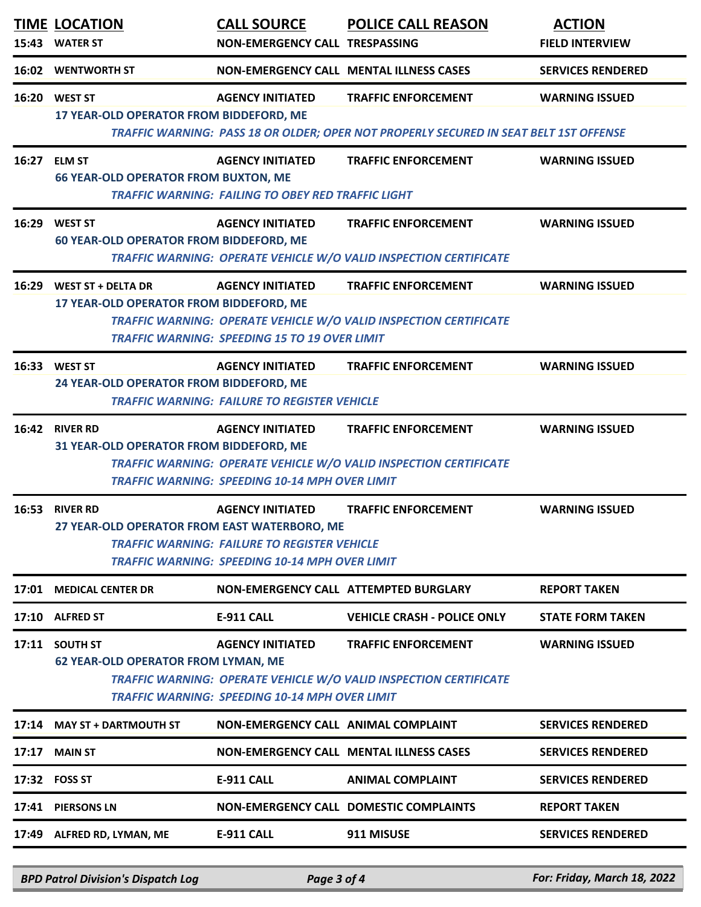| 15:43 | <b>TIME LOCATION</b><br><b>WATER ST</b>                              | <b>CALL SOURCE</b><br>NON-EMERGENCY CALL TRESPASSING                                                                                    | <b>POLICE CALL REASON</b>                                                                                           | <b>ACTION</b><br><b>FIELD INTERVIEW</b> |
|-------|----------------------------------------------------------------------|-----------------------------------------------------------------------------------------------------------------------------------------|---------------------------------------------------------------------------------------------------------------------|-----------------------------------------|
| 16:02 | <b>WENTWORTH ST</b>                                                  |                                                                                                                                         | <b>NON-EMERGENCY CALL MENTAL ILLNESS CASES</b>                                                                      | <b>SERVICES RENDERED</b>                |
| 16:20 | <b>WEST ST</b><br>17 YEAR-OLD OPERATOR FROM BIDDEFORD, ME            | <b>AGENCY INITIATED</b>                                                                                                                 | <b>TRAFFIC ENFORCEMENT</b><br>TRAFFIC WARNING: PASS 18 OR OLDER; OPER NOT PROPERLY SECURED IN SEAT BELT 1ST OFFENSE | <b>WARNING ISSUED</b>                   |
| 16:27 | <b>ELM ST</b><br><b>66 YEAR-OLD OPERATOR FROM BUXTON, ME</b>         | <b>AGENCY INITIATED</b><br><b>TRAFFIC WARNING: FAILING TO OBEY RED TRAFFIC LIGHT</b>                                                    | <b>TRAFFIC ENFORCEMENT</b>                                                                                          | <b>WARNING ISSUED</b>                   |
| 16:29 | <b>WEST ST</b><br><b>60 YEAR-OLD OPERATOR FROM BIDDEFORD, ME</b>     | <b>AGENCY INITIATED</b>                                                                                                                 | <b>TRAFFIC ENFORCEMENT</b><br>TRAFFIC WARNING: OPERATE VEHICLE W/O VALID INSPECTION CERTIFICATE                     | <b>WARNING ISSUED</b>                   |
| 16:29 | <b>WEST ST + DELTA DR</b><br>17 YEAR-OLD OPERATOR FROM BIDDEFORD, ME | <b>AGENCY INITIATED</b><br><b>TRAFFIC WARNING: SPEEDING 15 TO 19 OVER LIMIT</b>                                                         | <b>TRAFFIC ENFORCEMENT</b><br><b>TRAFFIC WARNING: OPERATE VEHICLE W/O VALID INSPECTION CERTIFICATE</b>              | <b>WARNING ISSUED</b>                   |
|       | 16:33 WEST ST<br>24 YEAR-OLD OPERATOR FROM BIDDEFORD, ME             | <b>AGENCY INITIATED</b><br><b>TRAFFIC WARNING: FAILURE TO REGISTER VEHICLE</b>                                                          | <b>TRAFFIC ENFORCEMENT</b>                                                                                          | <b>WARNING ISSUED</b>                   |
| 16:42 | <b>RIVER RD</b><br>31 YEAR-OLD OPERATOR FROM BIDDEFORD, ME           | <b>AGENCY INITIATED</b><br><b>TRAFFIC WARNING: SPEEDING 10-14 MPH OVER LIMIT</b>                                                        | <b>TRAFFIC ENFORCEMENT</b><br>TRAFFIC WARNING: OPERATE VEHICLE W/O VALID INSPECTION CERTIFICATE                     | <b>WARNING ISSUED</b>                   |
| 16:53 | <b>RIVER RD</b><br>27 YEAR-OLD OPERATOR FROM EAST WATERBORO, ME      | <b>AGENCY INITIATED</b><br><b>TRAFFIC WARNING: FAILURE TO REGISTER VEHICLE</b><br><b>TRAFFIC WARNING: SPEEDING 10-14 MPH OVER LIMIT</b> | <b>TRAFFIC ENFORCEMENT</b>                                                                                          | <b>WARNING ISSUED</b>                   |
| 17:01 | <b>MEDICAL CENTER DR</b>                                             |                                                                                                                                         | NON-EMERGENCY CALL ATTEMPTED BURGLARY                                                                               | <b>REPORT TAKEN</b>                     |
|       | 17:10 ALFRED ST                                                      | <b>E-911 CALL</b>                                                                                                                       | <b>VEHICLE CRASH - POLICE ONLY</b>                                                                                  | <b>STATE FORM TAKEN</b>                 |
| 17:11 | <b>SOUTH ST</b><br><b>62 YEAR-OLD OPERATOR FROM LYMAN, ME</b>        | <b>AGENCY INITIATED</b><br><b>TRAFFIC WARNING: SPEEDING 10-14 MPH OVER LIMIT</b>                                                        | <b>TRAFFIC ENFORCEMENT</b><br>TRAFFIC WARNING: OPERATE VEHICLE W/O VALID INSPECTION CERTIFICATE                     | <b>WARNING ISSUED</b>                   |
| 17:14 | <b>MAY ST + DARTMOUTH ST</b>                                         | NON-EMERGENCY CALL ANIMAL COMPLAINT                                                                                                     |                                                                                                                     | <b>SERVICES RENDERED</b>                |
| 17:17 | <b>MAIN ST</b>                                                       |                                                                                                                                         | <b>NON-EMERGENCY CALL MENTAL ILLNESS CASES</b>                                                                      | <b>SERVICES RENDERED</b>                |
|       | 17:32 FOSS ST                                                        | <b>E-911 CALL</b>                                                                                                                       | <b>ANIMAL COMPLAINT</b>                                                                                             | <b>SERVICES RENDERED</b>                |
| 17:41 | <b>PIERSONS LN</b>                                                   |                                                                                                                                         | <b>NON-EMERGENCY CALL DOMESTIC COMPLAINTS</b>                                                                       | <b>REPORT TAKEN</b>                     |
|       | 17:49 ALFRED RD, LYMAN, ME                                           | <b>E-911 CALL</b>                                                                                                                       | 911 MISUSE                                                                                                          | <b>SERVICES RENDERED</b>                |
|       | <b>BPD Patrol Division's Dispatch Log</b>                            | Page 3 of 4                                                                                                                             |                                                                                                                     | For: Friday, March 18, 2022             |